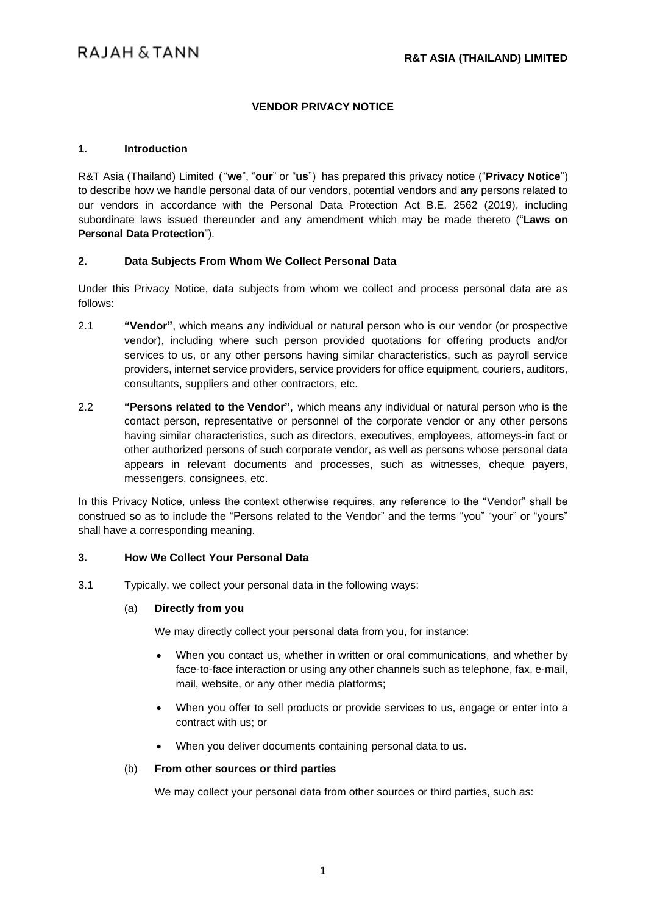# **VENDOR PRIVACY NOTICE**

#### **1. Introduction**

R&T Asia (Thailand) Limited ("**we**", "**our**" or "**us**") has prepared this privacy notice ("**Privacy Notice**") to describe how we handle personal data of our vendors, potential vendors and any persons related to our vendors in accordance with the Personal Data Protection Act B.E. 2562 (2019), including subordinate laws issued thereunder and any amendment which may be made thereto ("**Laws on Personal Data Protection**").

## **2. Data Subjects From Whom We Collect Personal Data**

Under this Privacy Notice, data subjects from whom we collect and process personal data are as follows:

- 2.1 **"Vendor"**, which means any individual or natural person who is our vendor (or prospective vendor), including where such person provided quotations for offering products and/or services to us, or any other persons having similar characteristics, such as payroll service providers, internet service providers, service providers for office equipment, couriers, auditors, consultants, suppliers and other contractors, etc.
- 2.2 **"Persons related to the Vendor"**, which means any individual or natural person who is the contact person, representative or personnel of the corporate vendor or any other persons having similar characteristics, such as directors, executives, employees, attorneys-in fact or other authorized persons of such corporate vendor, as well as persons whose personal data appears in relevant documents and processes, such as witnesses, cheque payers, messengers, consignees, etc.

In this Privacy Notice, unless the context otherwise requires, any reference to the "Vendor" shall be construed so as to include the "Persons related to the Vendor" and the terms "you" "your" or "yours" shall have a corresponding meaning.

#### **3. How We Collect Your Personal Data**

3.1 Typically, we collect your personal data in the following ways:

#### (a) **Directly from you**

We may directly collect your personal data from you, for instance:

- When you contact us, whether in written or oral communications, and whether by face-to-face interaction or using any other channels such as telephone, fax, e-mail, mail, website, or any other media platforms;
- When you offer to sell products or provide services to us, engage or enter into a contract with us; or
- When you deliver documents containing personal data to us.

#### (b) **From other sources or third parties**

We may collect your personal data from other sources or third parties, such as: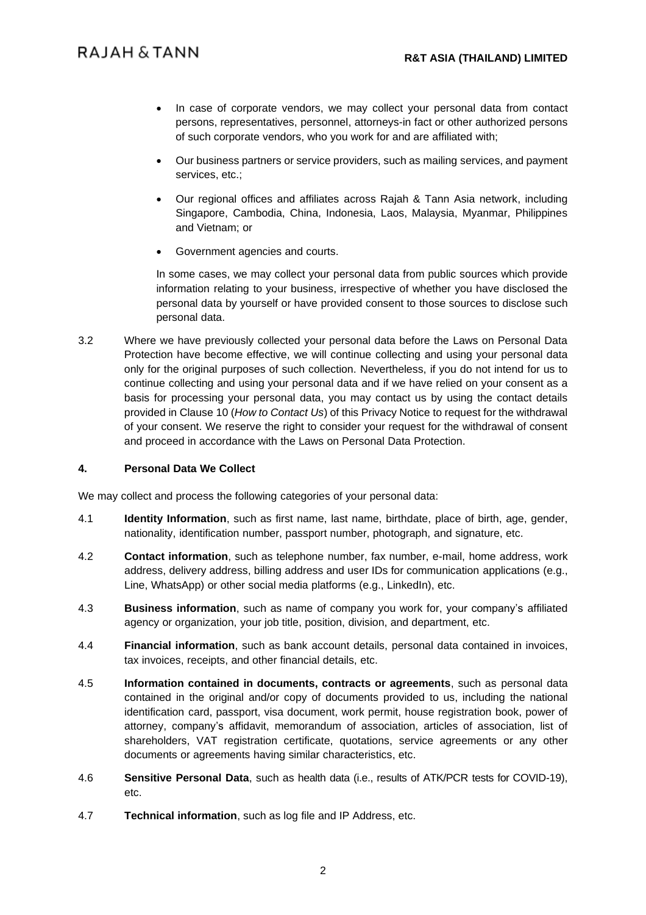- In case of corporate vendors, we may collect your personal data from contact persons, representatives, personnel, attorneys-in fact or other authorized persons of such corporate vendors, who you work for and are affiliated with;
- Our business partners or service providers, such as mailing services, and payment services, etc.;
- Our regional offices and affiliates across Rajah & Tann Asia network, including Singapore, Cambodia, China, Indonesia, Laos, Malaysia, Myanmar, Philippines and Vietnam; or
- Government agencies and courts.

In some cases, we may collect your personal data from public sources which provide information relating to your business, irrespective of whether you have disclosed the personal data by yourself or have provided consent to those sources to disclose such personal data.

3.2 Where we have previously collected your personal data before the Laws on Personal Data Protection have become effective, we will continue collecting and using your personal data only for the original purposes of such collection. Nevertheless, if you do not intend for us to continue collecting and using your personal data and if we have relied on your consent as a basis for processing your personal data, you may contact us by using the contact details provided in Clause [10](#page-6-0) (*How to Contact Us*) of this Privacy Notice to request for the withdrawal of your consent. We reserve the right to consider your request for the withdrawal of consent and proceed in accordance with the Laws on Personal Data Protection.

#### **4. Personal Data We Collect**

We may collect and process the following categories of your personal data:

- 4.1 **Identity Information**, such as first name, last name, birthdate, place of birth, age, gender, nationality, identification number, passport number, photograph, and signature, etc.
- 4.2 **Contact information**, such as telephone number, fax number, e-mail, home address, work address, delivery address, billing address and user IDs for communication applications (e.g., Line, WhatsApp) or other social media platforms (e.g., LinkedIn), etc.
- 4.3 **Business information**, such as name of company you work for, your company's affiliated agency or organization, your job title, position, division, and department, etc.
- 4.4 **Financial information**, such as bank account details, personal data contained in invoices, tax invoices, receipts, and other financial details, etc.
- 4.5 **Information contained in documents, contracts or agreements**, such as personal data contained in the original and/or copy of documents provided to us, including the national identification card, passport, visa document, work permit, house registration book, power of attorney, company's affidavit, memorandum of association, articles of association, list of shareholders, VAT registration certificate, quotations, service agreements or any other documents or agreements having similar characteristics, etc.
- 4.6 **Sensitive Personal Data**, such as health data (i.e., results of ATK/PCR tests for COVID-19), etc.
- 4.7 **Technical information**, such as log file and IP Address, etc.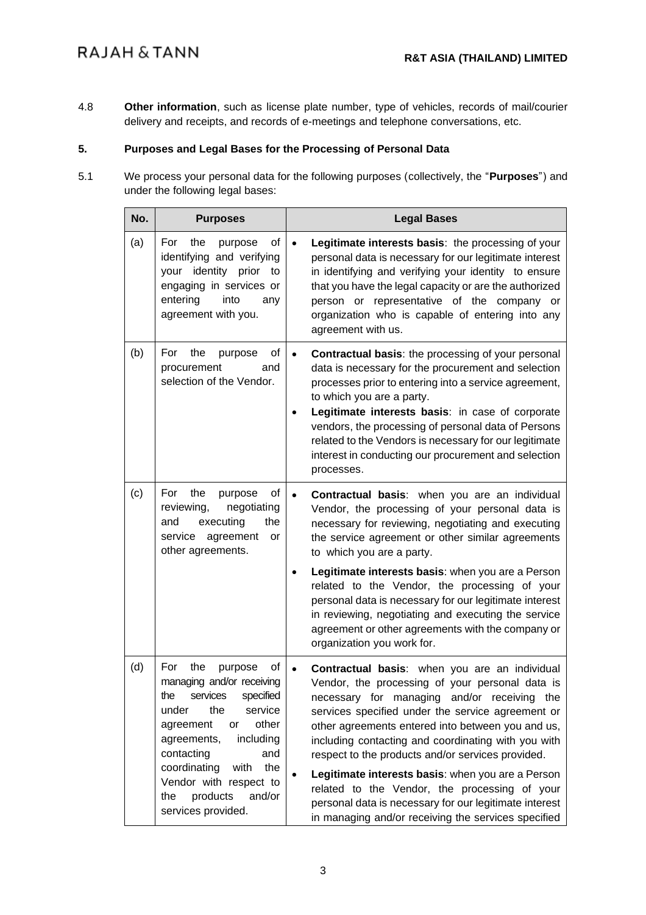# **RAJAH & TANN**

4.8 **Other information**, such as license plate number, type of vehicles, records of mail/courier delivery and receipts, and records of e-meetings and telephone conversations, etc.

# **5. Purposes and Legal Bases for the Processing of Personal Data**

5.1 We process your personal data for the following purposes (collectively, the "**Purposes**") and under the following legal bases:

| No. | <b>Purposes</b>                                                                                                                                                                                                                                                                                        | <b>Legal Bases</b>                                                                                                                                                                                                                                                                                                                                                                                                                                                                                                                                                                                                                             |
|-----|--------------------------------------------------------------------------------------------------------------------------------------------------------------------------------------------------------------------------------------------------------------------------------------------------------|------------------------------------------------------------------------------------------------------------------------------------------------------------------------------------------------------------------------------------------------------------------------------------------------------------------------------------------------------------------------------------------------------------------------------------------------------------------------------------------------------------------------------------------------------------------------------------------------------------------------------------------------|
| (a) | the<br>For<br>purpose<br>οf<br>identifying and verifying<br>your identity prior<br>to<br>engaging in services or<br>into<br>entering<br>any<br>agreement with you.                                                                                                                                     | Legitimate interests basis: the processing of your<br>$\bullet$<br>personal data is necessary for our legitimate interest<br>in identifying and verifying your identity to ensure<br>that you have the legal capacity or are the authorized<br>person or representative of the company or<br>organization who is capable of entering into any<br>agreement with us.                                                                                                                                                                                                                                                                            |
| (b) | For<br>the<br>purpose<br>οf<br>procurement<br>and<br>selection of the Vendor.                                                                                                                                                                                                                          | Contractual basis: the processing of your personal<br>data is necessary for the procurement and selection<br>processes prior to entering into a service agreement,<br>to which you are a party.<br>Legitimate interests basis: in case of corporate<br>vendors, the processing of personal data of Persons<br>related to the Vendors is necessary for our legitimate<br>interest in conducting our procurement and selection<br>processes.                                                                                                                                                                                                     |
| (c) | the<br>For<br>purpose<br>οf<br>reviewing,<br>negotiating<br>executing<br>the<br>and<br>agreement<br>service<br>or<br>other agreements.                                                                                                                                                                 | Contractual basis: when you are an individual<br>$\bullet$<br>Vendor, the processing of your personal data is<br>necessary for reviewing, negotiating and executing<br>the service agreement or other similar agreements<br>to which you are a party.<br>Legitimate interests basis: when you are a Person<br>related to the Vendor, the processing of your<br>personal data is necessary for our legitimate interest<br>in reviewing, negotiating and executing the service<br>agreement or other agreements with the company or                                                                                                              |
| (d) | For<br>the<br>purpose<br>οf<br>managing and/or receiving<br>the services specified<br>the<br>under<br>service<br>other<br>agreement<br>or<br>including<br>agreements,<br>contacting<br>and<br>coordinating<br>with<br>the<br>Vendor with respect to<br>products<br>and/or<br>the<br>services provided. | organization you work for.<br><b>Contractual basis:</b> when you are an individual<br>$\bullet$<br>Vendor, the processing of your personal data is<br>necessary for managing and/or receiving the<br>services specified under the service agreement or<br>other agreements entered into between you and us,<br>including contacting and coordinating with you with<br>respect to the products and/or services provided.<br>Legitimate interests basis: when you are a Person<br>related to the Vendor, the processing of your<br>personal data is necessary for our legitimate interest<br>in managing and/or receiving the services specified |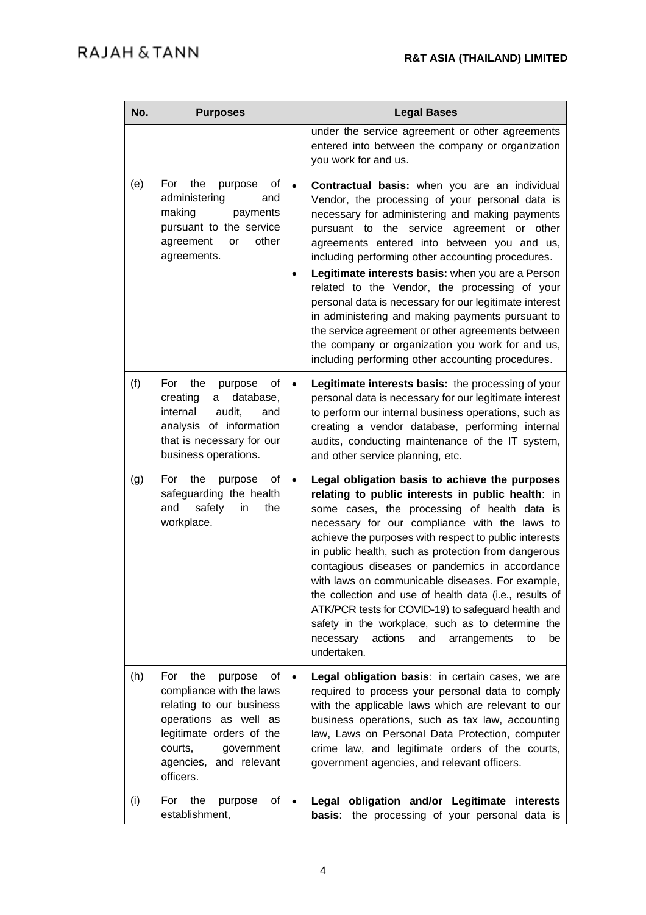| No. | <b>Purposes</b>                                                                                                                                                                                          | <b>Legal Bases</b>                                                                                                                                                                                                                                                                                                                                                                                                                                                                                                                                                                                                                                                                                   |
|-----|----------------------------------------------------------------------------------------------------------------------------------------------------------------------------------------------------------|------------------------------------------------------------------------------------------------------------------------------------------------------------------------------------------------------------------------------------------------------------------------------------------------------------------------------------------------------------------------------------------------------------------------------------------------------------------------------------------------------------------------------------------------------------------------------------------------------------------------------------------------------------------------------------------------------|
|     |                                                                                                                                                                                                          | under the service agreement or other agreements<br>entered into between the company or organization<br>you work for and us.                                                                                                                                                                                                                                                                                                                                                                                                                                                                                                                                                                          |
| (e) | For<br>the<br>purpose<br>οf<br>administering<br>and<br>making<br>payments<br>pursuant to the service<br>agreement<br>other<br>or<br>agreements.                                                          | Contractual basis: when you are an individual<br>Vendor, the processing of your personal data is<br>necessary for administering and making payments<br>pursuant to the service agreement or other<br>agreements entered into between you and us,<br>including performing other accounting procedures.<br>Legitimate interests basis: when you are a Person<br>$\bullet$<br>related to the Vendor, the processing of your<br>personal data is necessary for our legitimate interest<br>in administering and making payments pursuant to<br>the service agreement or other agreements between<br>the company or organization you work for and us,<br>including performing other accounting procedures. |
| (f) | of<br>For<br>the<br>purpose<br>database,<br>creating<br>a<br>internal<br>audit,<br>and<br>analysis of information<br>that is necessary for our<br>business operations.                                   | Legitimate interests basis: the processing of your<br>$\bullet$<br>personal data is necessary for our legitimate interest<br>to perform our internal business operations, such as<br>creating a vendor database, performing internal<br>audits, conducting maintenance of the IT system,<br>and other service planning, etc.                                                                                                                                                                                                                                                                                                                                                                         |
| (g) | For<br>the<br>οf<br>purpose<br>safeguarding the health<br>and<br>safety<br>in<br>the<br>workplace.                                                                                                       | Legal obligation basis to achieve the purposes<br>$\bullet$<br>relating to public interests in public health: in<br>some cases, the processing of health data is<br>necessary for our compliance with the laws to<br>achieve the purposes with respect to public interests<br>in public health, such as protection from dangerous<br>contagious diseases or pandemics in accordance<br>with laws on communicable diseases. For example,<br>the collection and use of health data (i.e., results of<br>ATK/PCR tests for COVID-19) to safeguard health and<br>safety in the workplace, such as to determine the<br>actions<br>necessary<br>and<br>arrangements<br>to<br>be<br>undertaken.             |
| (h) | For<br>the<br>purpose<br>οf<br>compliance with the laws<br>relating to our business<br>operations as well as<br>legitimate orders of the<br>courts,<br>government<br>agencies, and relevant<br>officers. | Legal obligation basis: in certain cases, we are<br>required to process your personal data to comply<br>with the applicable laws which are relevant to our<br>business operations, such as tax law, accounting<br>law, Laws on Personal Data Protection, computer<br>crime law, and legitimate orders of the courts,<br>government agencies, and relevant officers.                                                                                                                                                                                                                                                                                                                                  |
| (i) | For<br>the<br>of<br>purpose<br>establishment,                                                                                                                                                            | Legal obligation and/or Legitimate interests<br>the processing of your personal data is<br>basis:                                                                                                                                                                                                                                                                                                                                                                                                                                                                                                                                                                                                    |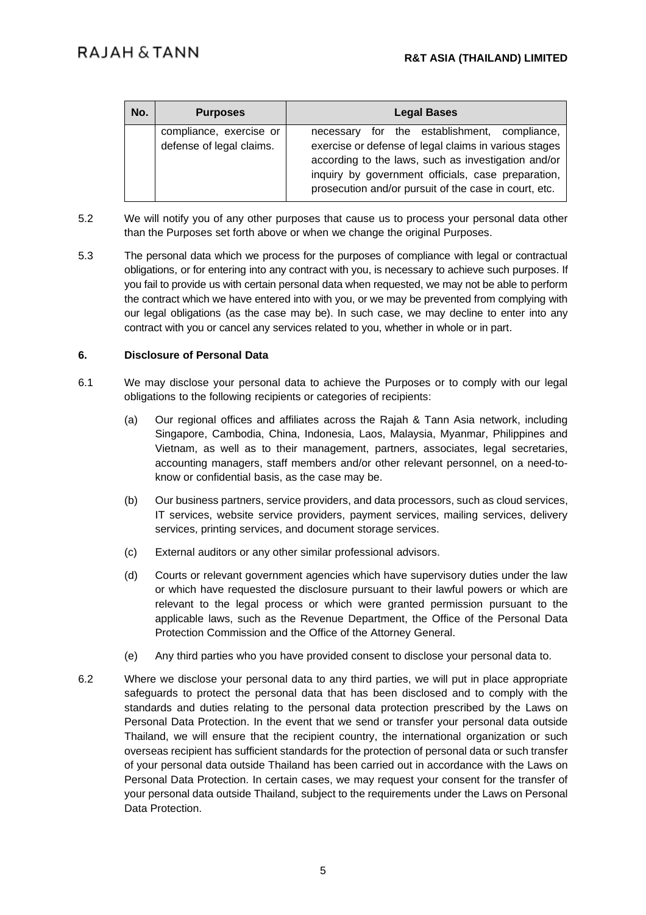| No. | <b>Purposes</b>                                     | <b>Legal Bases</b>                                                                                                                                                                                                                                                          |
|-----|-----------------------------------------------------|-----------------------------------------------------------------------------------------------------------------------------------------------------------------------------------------------------------------------------------------------------------------------------|
|     | compliance, exercise or<br>defense of legal claims. | necessary for the establishment, compliance,<br>exercise or defense of legal claims in various stages<br>according to the laws, such as investigation and/or<br>inquiry by government officials, case preparation,<br>prosecution and/or pursuit of the case in court, etc. |

- 5.2 We will notify you of any other purposes that cause us to process your personal data other than the Purposes set forth above or when we change the original Purposes.
- 5.3 The personal data which we process for the purposes of compliance with legal or contractual obligations, or for entering into any contract with you, is necessary to achieve such purposes. If you fail to provide us with certain personal data when requested, we may not be able to perform the contract which we have entered into with you, or we may be prevented from complying with our legal obligations (as the case may be). In such case, we may decline to enter into any contract with you or cancel any services related to you, whether in whole or in part.

## **6. Disclosure of Personal Data**

- 6.1 We may disclose your personal data to achieve the Purposes or to comply with our legal obligations to the following recipients or categories of recipients:
	- (a) Our regional offices and affiliates across the Rajah & Tann Asia network, including Singapore, Cambodia, China, Indonesia, Laos, Malaysia, Myanmar, Philippines and Vietnam, as well as to their management, partners, associates, legal secretaries, accounting managers, staff members and/or other relevant personnel, on a need-toknow or confidential basis, as the case may be.
	- (b) Our business partners, service providers, and data processors, such as cloud services, IT services, website service providers, payment services, mailing services, delivery services, printing services, and document storage services.
	- (c) External auditors or any other similar professional advisors.
	- (d) Courts or relevant government agencies which have supervisory duties under the law or which have requested the disclosure pursuant to their lawful powers or which are relevant to the legal process or which were granted permission pursuant to the applicable laws, such as the Revenue Department, the Office of the Personal Data Protection Commission and the Office of the Attorney General.
	- (e) Any third parties who you have provided consent to disclose your personal data to.
- 6.2 Where we disclose your personal data to any third parties, we will put in place appropriate safeguards to protect the personal data that has been disclosed and to comply with the standards and duties relating to the personal data protection prescribed by the Laws on Personal Data Protection. In the event that we send or transfer your personal data outside Thailand, we will ensure that the recipient country, the international organization or such overseas recipient has sufficient standards for the protection of personal data or such transfer of your personal data outside Thailand has been carried out in accordance with the Laws on Personal Data Protection. In certain cases, we may request your consent for the transfer of your personal data outside Thailand, subject to the requirements under the Laws on Personal Data Protection.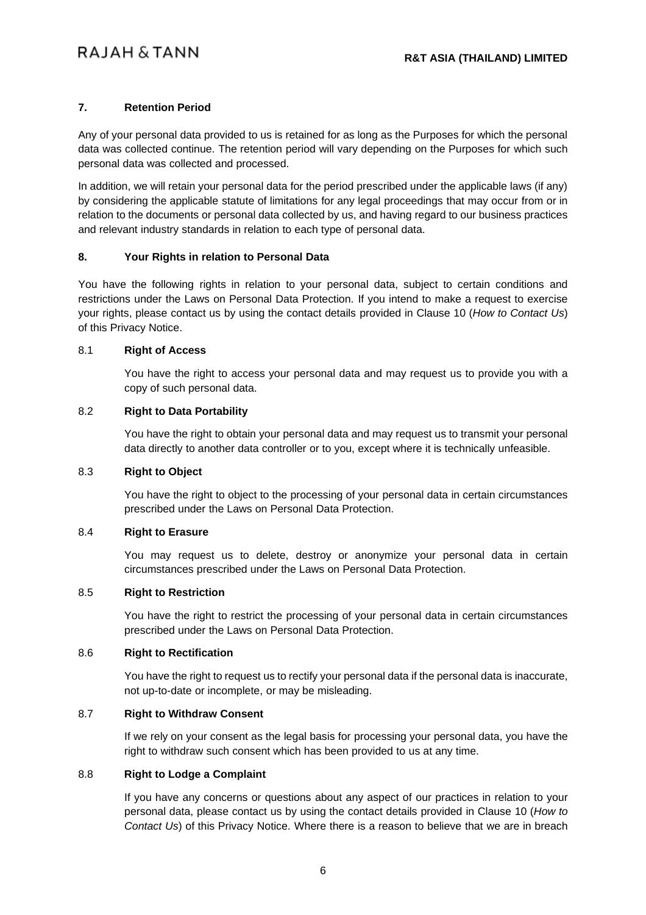# **7. Retention Period**

Any of your personal data provided to us is retained for as long as the Purposes for which the personal data was collected continue. The retention period will vary depending on the Purposes for which such personal data was collected and processed.

In addition, we will retain your personal data for the period prescribed under the applicable laws (if any) by considering the applicable statute of limitations for any legal proceedings that may occur from or in relation to the documents or personal data collected by us, and having regard to our business practices and relevant industry standards in relation to each type of personal data.

# **8. Your Rights in relation to Personal Data**

You have the following rights in relation to your personal data, subject to certain conditions and restrictions under the Laws on Personal Data Protection. If you intend to make a request to exercise your rights, please contact us by using the contact details provided in Clause [10](#page-6-0) (*How to Contact Us*) of this Privacy Notice.

## 8.1 **Right of Access**

You have the right to access your personal data and may request us to provide you with a copy of such personal data.

## 8.2 **Right to Data Portability**

You have the right to obtain your personal data and may request us to transmit your personal data directly to another data controller or to you, except where it is technically unfeasible.

# 8.3 **Right to Object**

You have the right to object to the processing of your personal data in certain circumstances prescribed under the Laws on Personal Data Protection.

# 8.4 **Right to Erasure**

You may request us to delete, destroy or anonymize your personal data in certain circumstances prescribed under the Laws on Personal Data Protection.

### 8.5 **Right to Restriction**

You have the right to restrict the processing of your personal data in certain circumstances prescribed under the Laws on Personal Data Protection.

#### 8.6 **Right to Rectification**

You have the right to request us to rectify your personal data if the personal data is inaccurate, not up-to-date or incomplete, or may be misleading.

# 8.7 **Right to Withdraw Consent**

If we rely on your consent as the legal basis for processing your personal data, you have the right to withdraw such consent which has been provided to us at any time.

#### 8.8 **Right to Lodge a Complaint**

If you have any concerns or questions about any aspect of our practices in relation to your personal data, please contact us by using the contact details provided in Clause [10](#page-6-0) (*How to Contact Us*) of this Privacy Notice. Where there is a reason to believe that we are in breach